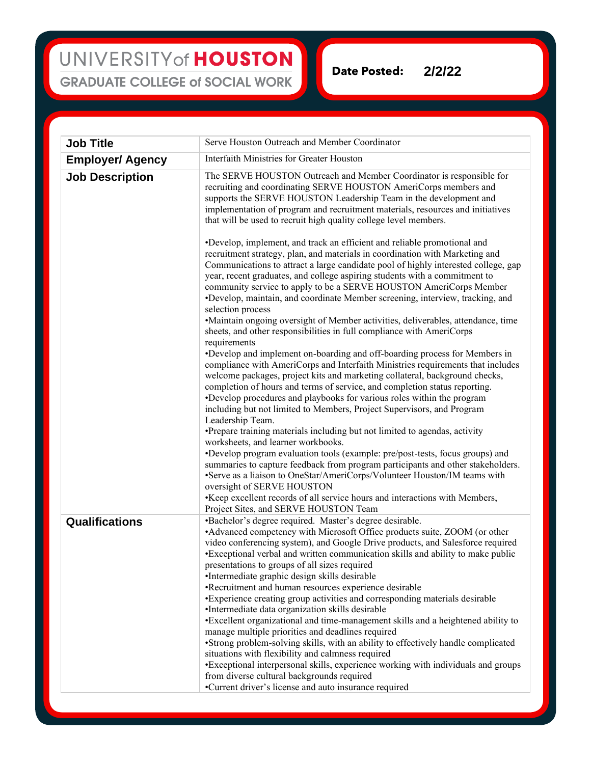## UNIVERSITY of HOUSTON **GRADUATE COLLEGE of SOCIAL WORK**

**Date Posted: 2/2/22**

| <b>Job Title</b>        | Serve Houston Outreach and Member Coordinator                                                                                                                                                                                                                                                                                                                                                                                                                                                                                                                                                                                                                                                                            |
|-------------------------|--------------------------------------------------------------------------------------------------------------------------------------------------------------------------------------------------------------------------------------------------------------------------------------------------------------------------------------------------------------------------------------------------------------------------------------------------------------------------------------------------------------------------------------------------------------------------------------------------------------------------------------------------------------------------------------------------------------------------|
| <b>Employer/ Agency</b> | Interfaith Ministries for Greater Houston                                                                                                                                                                                                                                                                                                                                                                                                                                                                                                                                                                                                                                                                                |
| <b>Job Description</b>  | The SERVE HOUSTON Outreach and Member Coordinator is responsible for<br>recruiting and coordinating SERVE HOUSTON AmeriCorps members and<br>supports the SERVE HOUSTON Leadership Team in the development and<br>implementation of program and recruitment materials, resources and initiatives<br>that will be used to recruit high quality college level members.                                                                                                                                                                                                                                                                                                                                                      |
|                         | •Develop, implement, and track an efficient and reliable promotional and<br>recruitment strategy, plan, and materials in coordination with Marketing and<br>Communications to attract a large candidate pool of highly interested college, gap<br>year, recent graduates, and college aspiring students with a commitment to<br>community service to apply to be a SERVE HOUSTON AmeriCorps Member<br>•Develop, maintain, and coordinate Member screening, interview, tracking, and<br>selection process<br>•Maintain ongoing oversight of Member activities, deliverables, attendance, time<br>sheets, and other responsibilities in full compliance with AmeriCorps                                                    |
|                         | requirements<br>•Develop and implement on-boarding and off-boarding process for Members in<br>compliance with AmeriCorps and Interfaith Ministries requirements that includes<br>welcome packages, project kits and marketing collateral, background checks,<br>completion of hours and terms of service, and completion status reporting.<br>•Develop procedures and playbooks for various roles within the program<br>including but not limited to Members, Project Supervisors, and Program<br>Leadership Team.                                                                                                                                                                                                       |
|                         | •Prepare training materials including but not limited to agendas, activity<br>worksheets, and learner workbooks.<br>•Develop program evaluation tools (example: pre/post-tests, focus groups) and<br>summaries to capture feedback from program participants and other stakeholders.<br>•Serve as a liaison to OneStar/AmeriCorps/Volunteer Houston/IM teams with<br>oversight of SERVE HOUSTON<br>•Keep excellent records of all service hours and interactions with Members,                                                                                                                                                                                                                                           |
| Qualifications          | Project Sites, and SERVE HOUSTON Team<br>•Bachelor's degree required. Master's degree desirable.<br>•Advanced competency with Microsoft Office products suite, ZOOM (or other<br>video conferencing system), and Google Drive products, and Salesforce required<br>•Exceptional verbal and written communication skills and ability to make public<br>presentations to groups of all sizes required                                                                                                                                                                                                                                                                                                                      |
|                         | •Intermediate graphic design skills desirable<br>•Recruitment and human resources experience desirable<br>•Experience creating group activities and corresponding materials desirable<br>•Intermediate data organization skills desirable<br>•Excellent organizational and time-management skills and a heightened ability to<br>manage multiple priorities and deadlines required<br>•Strong problem-solving skills, with an ability to effectively handle complicated<br>situations with flexibility and calmness required<br>•Exceptional interpersonal skills, experience working with individuals and groups<br>from diverse cultural backgrounds required<br>•Current driver's license and auto insurance required |